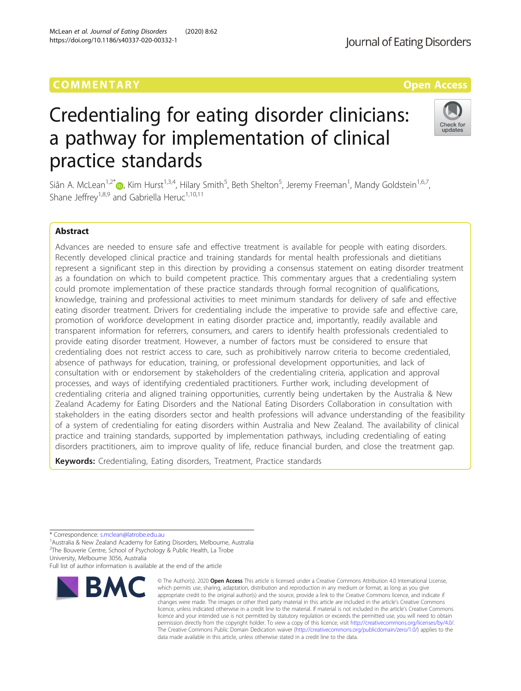# COMM EN TARY Open Access

# Credentialing for eating disorder clinicians: a pathway for implementation of clinical practice standards

Siân A. McLean<sup>1,2[\\*](https://orcid.org/0000-0002-4273-2037)</sup> D, Kim Hurst<sup>1,3,4</sup>, Hilary Smith<sup>5</sup>, Beth Shelton<sup>5</sup>, Jeremy Freeman<sup>1</sup>, Mandy Goldstein<sup>1,6,7</sup>, Shane Jeffrey<sup>1,8,9</sup> and Gabriella Heruc<sup>1,10,11</sup>

# Abstract

Advances are needed to ensure safe and effective treatment is available for people with eating disorders. Recently developed clinical practice and training standards for mental health professionals and dietitians represent a significant step in this direction by providing a consensus statement on eating disorder treatment as a foundation on which to build competent practice. This commentary argues that a credentialing system could promote implementation of these practice standards through formal recognition of qualifications, knowledge, training and professional activities to meet minimum standards for delivery of safe and effective eating disorder treatment. Drivers for credentialing include the imperative to provide safe and effective care, promotion of workforce development in eating disorder practice and, importantly, readily available and transparent information for referrers, consumers, and carers to identify health professionals credentialed to provide eating disorder treatment. However, a number of factors must be considered to ensure that credentialing does not restrict access to care, such as prohibitively narrow criteria to become credentialed, absence of pathways for education, training, or professional development opportunities, and lack of consultation with or endorsement by stakeholders of the credentialing criteria, application and approval processes, and ways of identifying credentialed practitioners. Further work, including development of credentialing criteria and aligned training opportunities, currently being undertaken by the Australia & New Zealand Academy for Eating Disorders and the National Eating Disorders Collaboration in consultation with stakeholders in the eating disorders sector and health professions will advance understanding of the feasibility of a system of credentialing for eating disorders within Australia and New Zealand. The availability of clinical practice and training standards, supported by implementation pathways, including credentialing of eating disorders practitioners, aim to improve quality of life, reduce financial burden, and close the treatment gap.

Keywords: Credentialing, Eating disorders, Treatment, Practice standards

<sup>1</sup> Australia & New Zealand Academy for Eating Disorders, Melbourne, Australia <sup>2</sup>The Bouverie Centre, School of Psychology & Public Health, La Trobe University, Melbourne 3056, Australia

Full list of author information is available at the end of the article



<sup>©</sup> The Author(s), 2020 **Open Access** This article is licensed under a Creative Commons Attribution 4.0 International License, which permits use, sharing, adaptation, distribution and reproduction in any medium or format, as long as you give appropriate credit to the original author(s) and the source, provide a link to the Creative Commons licence, and indicate if changes were made. The images or other third party material in this article are included in the article's Creative Commons licence, unless indicated otherwise in a credit line to the material. If material is not included in the article's Creative Commons licence and your intended use is not permitted by statutory regulation or exceeds the permitted use, you will need to obtain permission directly from the copyright holder. To view a copy of this licence, visit [http://creativecommons.org/licenses/by/4.0/.](http://creativecommons.org/licenses/by/4.0/) The Creative Commons Public Domain Dedication waiver [\(http://creativecommons.org/publicdomain/zero/1.0/](http://creativecommons.org/publicdomain/zero/1.0/)) applies to the data made available in this article, unless otherwise stated in a credit line to the data.





<sup>\*</sup> Correspondence: [s.mclean@latrobe.edu.au](mailto:s.mclean@latrobe.edu.au) <sup>1</sup>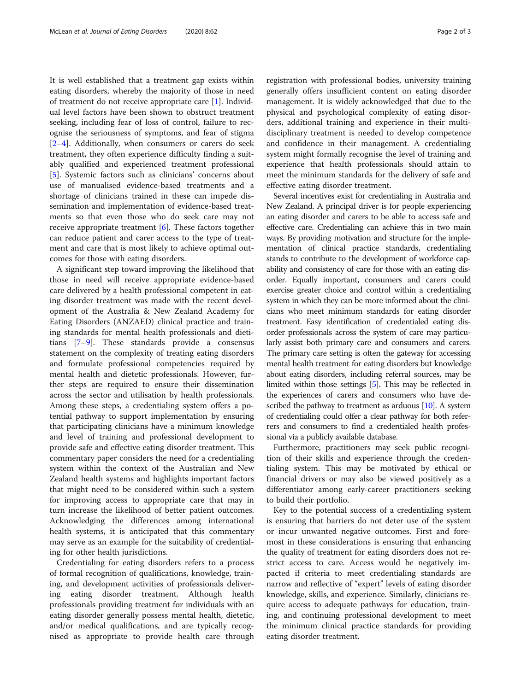It is well established that a treatment gap exists within eating disorders, whereby the majority of those in need of treatment do not receive appropriate care [\[1\]](#page-2-0). Individual level factors have been shown to obstruct treatment seeking, including fear of loss of control, failure to recognise the seriousness of symptoms, and fear of stigma [[2](#page-2-0)–[4\]](#page-2-0). Additionally, when consumers or carers do seek treatment, they often experience difficulty finding a suitably qualified and experienced treatment professional [[5\]](#page-2-0). Systemic factors such as clinicians' concerns about use of manualised evidence-based treatments and a shortage of clinicians trained in these can impede dissemination and implementation of evidence-based treatments so that even those who do seek care may not receive appropriate treatment [[6\]](#page-2-0). These factors together can reduce patient and carer access to the type of treatment and care that is most likely to achieve optimal outcomes for those with eating disorders.

A significant step toward improving the likelihood that those in need will receive appropriate evidence-based care delivered by a health professional competent in eating disorder treatment was made with the recent development of the Australia & New Zealand Academy for Eating Disorders (ANZAED) clinical practice and training standards for mental health professionals and dietitians [[7](#page-2-0)–[9](#page-2-0)]. These standards provide a consensus statement on the complexity of treating eating disorders and formulate professional competencies required by mental health and dietetic professionals. However, further steps are required to ensure their dissemination across the sector and utilisation by health professionals. Among these steps, a credentialing system offers a potential pathway to support implementation by ensuring that participating clinicians have a minimum knowledge and level of training and professional development to provide safe and effective eating disorder treatment. This commentary paper considers the need for a credentialing system within the context of the Australian and New Zealand health systems and highlights important factors that might need to be considered within such a system for improving access to appropriate care that may in turn increase the likelihood of better patient outcomes. Acknowledging the differences among international health systems, it is anticipated that this commentary may serve as an example for the suitability of credentialing for other health jurisdictions.

Credentialing for eating disorders refers to a process of formal recognition of qualifications, knowledge, training, and development activities of professionals delivering eating disorder treatment. Although health professionals providing treatment for individuals with an eating disorder generally possess mental health, dietetic, and/or medical qualifications, and are typically recognised as appropriate to provide health care through registration with professional bodies, university training generally offers insufficient content on eating disorder management. It is widely acknowledged that due to the physical and psychological complexity of eating disorders, additional training and experience in their multidisciplinary treatment is needed to develop competence and confidence in their management. A credentialing system might formally recognise the level of training and experience that health professionals should attain to meet the minimum standards for the delivery of safe and effective eating disorder treatment.

Several incentives exist for credentialing in Australia and New Zealand. A principal driver is for people experiencing an eating disorder and carers to be able to access safe and effective care. Credentialing can achieve this in two main ways. By providing motivation and structure for the implementation of clinical practice standards, credentialing stands to contribute to the development of workforce capability and consistency of care for those with an eating disorder. Equally important, consumers and carers could exercise greater choice and control within a credentialing system in which they can be more informed about the clinicians who meet minimum standards for eating disorder treatment. Easy identification of credentialed eating disorder professionals across the system of care may particularly assist both primary care and consumers and carers. The primary care setting is often the gateway for accessing mental health treatment for eating disorders but knowledge about eating disorders, including referral sources, may be limited within those settings [\[5](#page-2-0)]. This may be reflected in the experiences of carers and consumers who have de-scribed the pathway to treatment as arduous [\[10\]](#page-2-0). A system of credentialing could offer a clear pathway for both referrers and consumers to find a credentialed health professional via a publicly available database.

Furthermore, practitioners may seek public recognition of their skills and experience through the credentialing system. This may be motivated by ethical or financial drivers or may also be viewed positively as a differentiator among early-career practitioners seeking to build their portfolio.

Key to the potential success of a credentialing system is ensuring that barriers do not deter use of the system or incur unwanted negative outcomes. First and foremost in these considerations is ensuring that enhancing the quality of treatment for eating disorders does not restrict access to care. Access would be negatively impacted if criteria to meet credentialing standards are narrow and reflective of "expert" levels of eating disorder knowledge, skills, and experience. Similarly, clinicians require access to adequate pathways for education, training, and continuing professional development to meet the minimum clinical practice standards for providing eating disorder treatment.